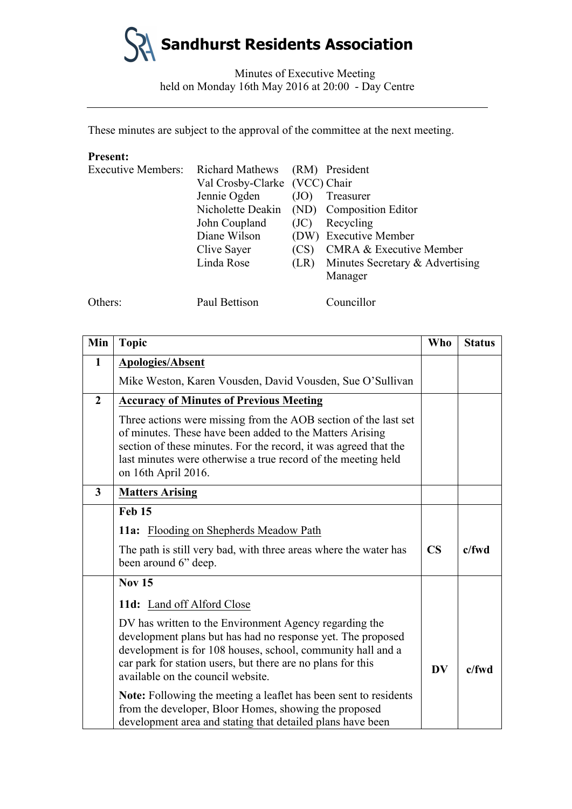Minutes of Executive Meeting held on Monday 16th May 2016 at 20:00 - Day Centre

These minutes are subject to the approval of the committee at the next meeting.

### **Present:**

| <b>Executive Members:</b> | Richard Mathews (RM) President |      |                                           |
|---------------------------|--------------------------------|------|-------------------------------------------|
|                           | Val Crosby-Clarke (VCC) Chair  |      |                                           |
|                           | Jennie Ogden                   | (JO) | Treasurer                                 |
|                           |                                |      | Nicholette Deakin (ND) Composition Editor |
|                           | John Coupland                  | (JC) | Recycling                                 |
|                           | Diane Wilson                   |      | (DW) Executive Member                     |
|                           | Clive Sayer                    | (CS) | <b>CMRA &amp; Executive Member</b>        |
|                           | Linda Rose                     | (LR) | Minutes Secretary & Advertising           |
|                           |                                |      | Manager                                   |
|                           |                                |      |                                           |
| Others:                   | Paul Bettison                  |      | Councillor                                |

| Min                     | <b>Topic</b>                                                                                                                                                                                                                                                                             | <b>Who</b>    | <b>Status</b> |
|-------------------------|------------------------------------------------------------------------------------------------------------------------------------------------------------------------------------------------------------------------------------------------------------------------------------------|---------------|---------------|
| $\mathbf{1}$            | <b>Apologies/Absent</b>                                                                                                                                                                                                                                                                  |               |               |
|                         | Mike Weston, Karen Vousden, David Vousden, Sue O'Sullivan                                                                                                                                                                                                                                |               |               |
| $\overline{2}$          | <b>Accuracy of Minutes of Previous Meeting</b>                                                                                                                                                                                                                                           |               |               |
|                         | Three actions were missing from the AOB section of the last set<br>of minutes. These have been added to the Matters Arising<br>section of these minutes. For the record, it was agreed that the<br>last minutes were otherwise a true record of the meeting held<br>on 16th April 2016.  |               |               |
| $\overline{\mathbf{3}}$ | <b>Matters Arising</b>                                                                                                                                                                                                                                                                   |               |               |
|                         | <b>Feb 15</b>                                                                                                                                                                                                                                                                            |               |               |
|                         | 11a: Flooding on Shepherds Meadow Path                                                                                                                                                                                                                                                   |               |               |
|                         | The path is still very bad, with three areas where the water has<br>been around 6" deep.                                                                                                                                                                                                 | $\mathbf{CS}$ | $c$ /fwd      |
|                         | <b>Nov 15</b>                                                                                                                                                                                                                                                                            |               |               |
|                         | 11d: Land off Alford Close                                                                                                                                                                                                                                                               |               |               |
|                         | DV has written to the Environment Agency regarding the<br>development plans but has had no response yet. The proposed<br>development is for 108 houses, school, community hall and a<br>car park for station users, but there are no plans for this<br>available on the council website. | <b>DV</b>     | $c$ /fwd      |
|                         | Note: Following the meeting a leaflet has been sent to residents<br>from the developer, Bloor Homes, showing the proposed<br>development area and stating that detailed plans have been                                                                                                  |               |               |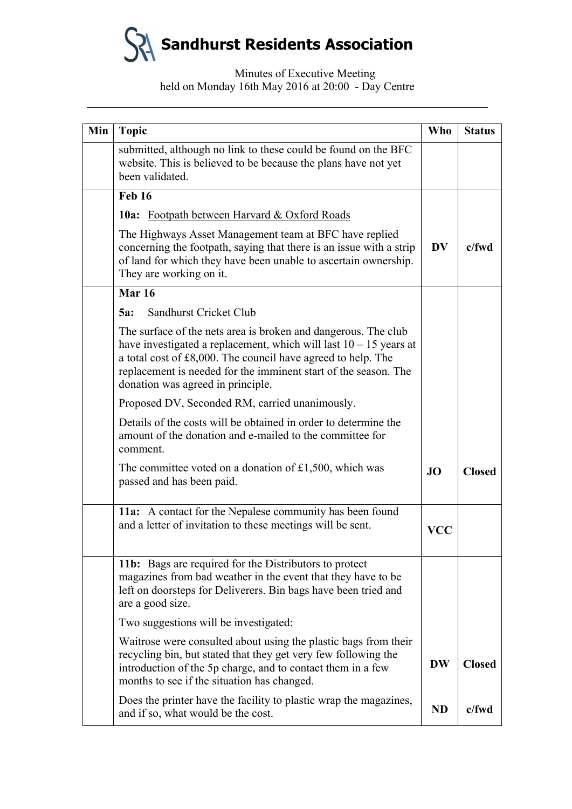| Min | <b>Topic</b>                                                                                                                                                                                                                                                                                                  | Who        | <b>Status</b> |
|-----|---------------------------------------------------------------------------------------------------------------------------------------------------------------------------------------------------------------------------------------------------------------------------------------------------------------|------------|---------------|
|     | submitted, although no link to these could be found on the BFC<br>website. This is believed to be because the plans have not yet<br>been validated.                                                                                                                                                           |            |               |
|     | <b>Feb 16</b>                                                                                                                                                                                                                                                                                                 |            |               |
|     | <b>10a:</b> Footpath between Harvard & Oxford Roads                                                                                                                                                                                                                                                           |            |               |
|     | The Highways Asset Management team at BFC have replied<br>concerning the footpath, saying that there is an issue with a strip<br>of land for which they have been unable to ascertain ownership.<br>They are working on it.                                                                                   | <b>DV</b>  | $c$ /fwd      |
|     | <b>Mar 16</b>                                                                                                                                                                                                                                                                                                 |            |               |
|     | Sandhurst Cricket Club<br><b>5a:</b>                                                                                                                                                                                                                                                                          |            |               |
|     | The surface of the nets area is broken and dangerous. The club<br>have investigated a replacement, which will last $10 - 15$ years at<br>a total cost of £8,000. The council have agreed to help. The<br>replacement is needed for the imminent start of the season. The<br>donation was agreed in principle. |            |               |
|     | Proposed DV, Seconded RM, carried unanimously.                                                                                                                                                                                                                                                                |            |               |
|     | Details of the costs will be obtained in order to determine the<br>amount of the donation and e-mailed to the committee for<br>comment.                                                                                                                                                                       |            |               |
|     | The committee voted on a donation of $£1,500$ , which was<br>passed and has been paid.                                                                                                                                                                                                                        | <b>JO</b>  | <b>Closed</b> |
|     | 11a: A contact for the Nepalese community has been found<br>and a letter of invitation to these meetings will be sent.                                                                                                                                                                                        | <b>VCC</b> |               |
|     | 11b: Bags are required for the Distributors to protect<br>magazines from bad weather in the event that they have to be<br>left on doorsteps for Deliverers. Bin bags have been tried and<br>are a good size.                                                                                                  |            |               |
|     | Two suggestions will be investigated:                                                                                                                                                                                                                                                                         |            |               |
|     | Waitrose were consulted about using the plastic bags from their<br>recycling bin, but stated that they get very few following the<br>introduction of the 5p charge, and to contact them in a few<br>months to see if the situation has changed.                                                               | <b>DW</b>  | <b>Closed</b> |
|     | Does the printer have the facility to plastic wrap the magazines,<br>and if so, what would be the cost.                                                                                                                                                                                                       | <b>ND</b>  | $c$ /fwd      |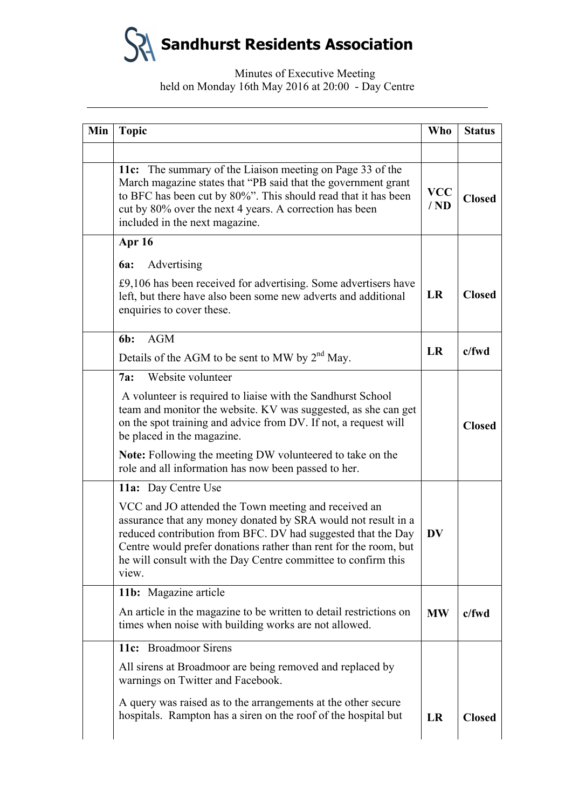| Min | <b>Topic</b>                                                                                                                                                                                                                                                                                                                        | <b>Who</b>        | <b>Status</b> |
|-----|-------------------------------------------------------------------------------------------------------------------------------------------------------------------------------------------------------------------------------------------------------------------------------------------------------------------------------------|-------------------|---------------|
|     |                                                                                                                                                                                                                                                                                                                                     |                   |               |
|     | 11c: The summary of the Liaison meeting on Page 33 of the<br>March magazine states that "PB said that the government grant<br>to BFC has been cut by 80%". This should read that it has been<br>cut by 80% over the next 4 years. A correction has been<br>included in the next magazine.                                           | <b>VCC</b><br>/ND | <b>Closed</b> |
|     | Apr 16                                                                                                                                                                                                                                                                                                                              |                   |               |
|     | Advertising<br><b>6a:</b>                                                                                                                                                                                                                                                                                                           |                   |               |
|     | £9,106 has been received for advertising. Some advertisers have<br>left, but there have also been some new adverts and additional<br>enquiries to cover these.                                                                                                                                                                      | LR                | <b>Closed</b> |
|     | <b>AGM</b><br>6b:                                                                                                                                                                                                                                                                                                                   |                   |               |
|     | Details of the AGM to be sent to MW by 2 <sup>nd</sup> May.                                                                                                                                                                                                                                                                         | LR                | c/fwd         |
|     | Website volunteer<br>7a:                                                                                                                                                                                                                                                                                                            |                   |               |
|     | A volunteer is required to liaise with the Sandhurst School<br>team and monitor the website. KV was suggested, as she can get<br>on the spot training and advice from DV. If not, a request will<br>be placed in the magazine.                                                                                                      |                   | <b>Closed</b> |
|     | Note: Following the meeting DW volunteered to take on the<br>role and all information has now been passed to her.                                                                                                                                                                                                                   |                   |               |
|     | 11a: Day Centre Use                                                                                                                                                                                                                                                                                                                 |                   |               |
|     | VCC and JO attended the Town meeting and received an<br>assurance that any money donated by SRA would not result in a<br>reduced contribution from BFC. DV had suggested that the Day<br>Centre would prefer donations rather than rent for the room, but<br>he will consult with the Day Centre committee to confirm this<br>view. | <b>DV</b>         |               |
|     | 11b: Magazine article                                                                                                                                                                                                                                                                                                               |                   |               |
|     | An article in the magazine to be written to detail restrictions on<br>times when noise with building works are not allowed.                                                                                                                                                                                                         | <b>MW</b>         | $c$ /fwd      |
|     | 11c: Broadmoor Sirens                                                                                                                                                                                                                                                                                                               |                   |               |
|     | All sirens at Broadmoor are being removed and replaced by<br>warnings on Twitter and Facebook.                                                                                                                                                                                                                                      |                   |               |
|     | A query was raised as to the arrangements at the other secure<br>hospitals. Rampton has a siren on the roof of the hospital but                                                                                                                                                                                                     | LR                | <b>Closed</b> |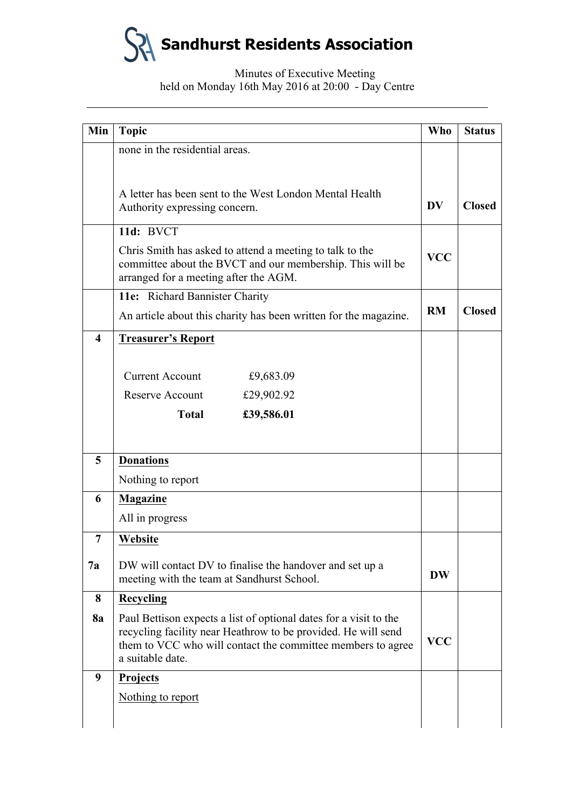| Min                     | <b>Topic</b>                                                                                                                                                                                                          | <b>Who</b> | <b>Status</b> |
|-------------------------|-----------------------------------------------------------------------------------------------------------------------------------------------------------------------------------------------------------------------|------------|---------------|
|                         | none in the residential areas.                                                                                                                                                                                        |            |               |
|                         |                                                                                                                                                                                                                       |            |               |
|                         | A letter has been sent to the West London Mental Health<br>Authority expressing concern.                                                                                                                              | DV         | <b>Closed</b> |
|                         | 11d: BVCT                                                                                                                                                                                                             |            |               |
|                         | Chris Smith has asked to attend a meeting to talk to the<br>committee about the BVCT and our membership. This will be<br>arranged for a meeting after the AGM.                                                        | <b>VCC</b> |               |
|                         | 11e: Richard Bannister Charity                                                                                                                                                                                        |            |               |
|                         | An article about this charity has been written for the magazine.                                                                                                                                                      | RM         | <b>Closed</b> |
| $\overline{\mathbf{4}}$ | <b>Treasurer's Report</b>                                                                                                                                                                                             |            |               |
|                         |                                                                                                                                                                                                                       |            |               |
|                         | <b>Current Account</b><br>£9,683.09                                                                                                                                                                                   |            |               |
|                         | Reserve Account<br>£29,902.92                                                                                                                                                                                         |            |               |
|                         | <b>Total</b><br>£39,586.01                                                                                                                                                                                            |            |               |
|                         |                                                                                                                                                                                                                       |            |               |
| 5                       | <b>Donations</b>                                                                                                                                                                                                      |            |               |
|                         | Nothing to report                                                                                                                                                                                                     |            |               |
| 6                       | <b>Magazine</b>                                                                                                                                                                                                       |            |               |
|                         | All in progress                                                                                                                                                                                                       |            |               |
| $\overline{7}$          | Website                                                                                                                                                                                                               |            |               |
| 7a                      | DW will contact DV to finalise the handover and set up a<br>meeting with the team at Sandhurst School.                                                                                                                | <b>DW</b>  |               |
| 8                       | <b>Recycling</b>                                                                                                                                                                                                      |            |               |
| <b>8a</b>               | Paul Bettison expects a list of optional dates for a visit to the<br>recycling facility near Heathrow to be provided. He will send<br>them to VCC who will contact the committee members to agree<br>a suitable date. | <b>VCC</b> |               |
| 9                       | <b>Projects</b>                                                                                                                                                                                                       |            |               |
|                         | Nothing to report                                                                                                                                                                                                     |            |               |
|                         |                                                                                                                                                                                                                       |            |               |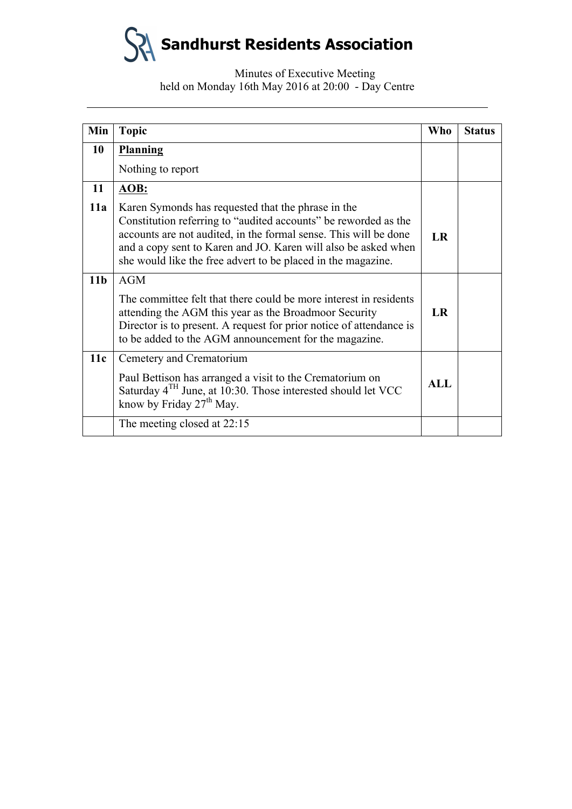| Min             | <b>Topic</b>                                                                                                                                                                                                                                                                                                                | Who        | <b>Status</b> |
|-----------------|-----------------------------------------------------------------------------------------------------------------------------------------------------------------------------------------------------------------------------------------------------------------------------------------------------------------------------|------------|---------------|
| 10              | <b>Planning</b>                                                                                                                                                                                                                                                                                                             |            |               |
|                 | Nothing to report                                                                                                                                                                                                                                                                                                           |            |               |
| 11              | AOB:                                                                                                                                                                                                                                                                                                                        |            |               |
| 11a             | Karen Symonds has requested that the phrase in the<br>Constitution referring to "audited accounts" be reworded as the<br>accounts are not audited, in the formal sense. This will be done<br>and a copy sent to Karen and JO. Karen will also be asked when<br>she would like the free advert to be placed in the magazine. | LR         |               |
| 11 <sub>b</sub> | <b>AGM</b>                                                                                                                                                                                                                                                                                                                  |            |               |
|                 | The committee felt that there could be more interest in residents<br>attending the AGM this year as the Broadmoor Security<br>Director is to present. A request for prior notice of attendance is<br>to be added to the AGM announcement for the magazine.                                                                  | <b>LR</b>  |               |
| 11c             | Cemetery and Crematorium                                                                                                                                                                                                                                                                                                    |            |               |
|                 | Paul Bettison has arranged a visit to the Crematorium on<br>Saturday 4 <sup>TH</sup> June, at 10:30. Those interested should let VCC<br>know by Friday $27th$ May.                                                                                                                                                          | <b>ALL</b> |               |
|                 | The meeting closed at 22:15                                                                                                                                                                                                                                                                                                 |            |               |